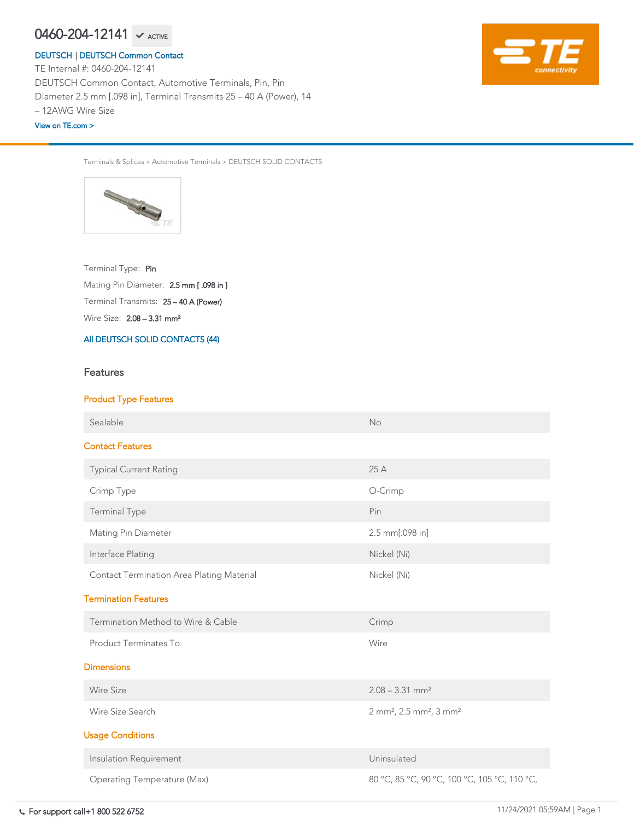Terminals & Splices > Automotive Terminals > DEUTSCH SOLID CONTACTS



Wire Size: 2.08 – 3.31 mm² Terminal Transmits: 25 – 40 A (Power) Mating Pin Diameter: 2.5 mm [ .098 in ] Terminal Type: Pin

# [All DEUTSCH SOLID CONTACTS \(44\)](https://www.te.com/usa-en/product-0460-204-12141.html)

# Features

# Product Type Features

Sealable No. 2006. The Sealable Contract of the Sealable Contract of the No. 2006. No. 2006. No. 2006. No. 201

# Contact Features

| <b>Typical Current Rating</b>                    | 25A                                                        |
|--------------------------------------------------|------------------------------------------------------------|
| Crimp Type                                       | O-Crimp                                                    |
| <b>Terminal Type</b>                             | Pin                                                        |
| <b>Mating Pin Diameter</b>                       | $2.5$ mm $[.098$ in]                                       |
| Interface Plating                                | Nickel (Ni)                                                |
| <b>Contact Termination Area Plating Material</b> | Nickel (Ni)                                                |
| <b>Termination Features</b>                      |                                                            |
| Termination Method to Wire & Cable               | Crimp                                                      |
| <b>Product Terminates To</b>                     | Wire                                                       |
| <b>Dimensions</b>                                |                                                            |
| <b>Wire Size</b>                                 | $2.08 - 3.31$ mm <sup>2</sup>                              |
| Wire Size Search                                 | $2 \text{ mm}^2$ , 2.5 mm <sup>2</sup> , 3 mm <sup>2</sup> |
| <b>Usage Conditions</b>                          |                                                            |
| Insulation Requirement                           | Uninsulated                                                |
| <b>Operating Temperature (Max)</b>               | 80 °C, 85 °C, 90 °C, 100 °C, 105 °C, 110 °C,               |

TE Internal #: 0460-204-12141 DEUTSCH Common Contact, Automotive Terminals, Pin, Pin Diameter 2.5 mm [.098 in], Terminal Transmits 25 – 40 A (Power), 14 – 12AWG Wire Size

# $0460$ – $204$ – $12141$   $\checkmark$  active

## [DEUTSCH](https://www.te.com/usa-en/plp/Zn9b.html) | [DEUTSCH Common Contact](https://www.te.com/usa-en/plp/X27xk.html)

### [View on TE.com >](https://www.te.com/usa-en/product-0460-204-12141.html)

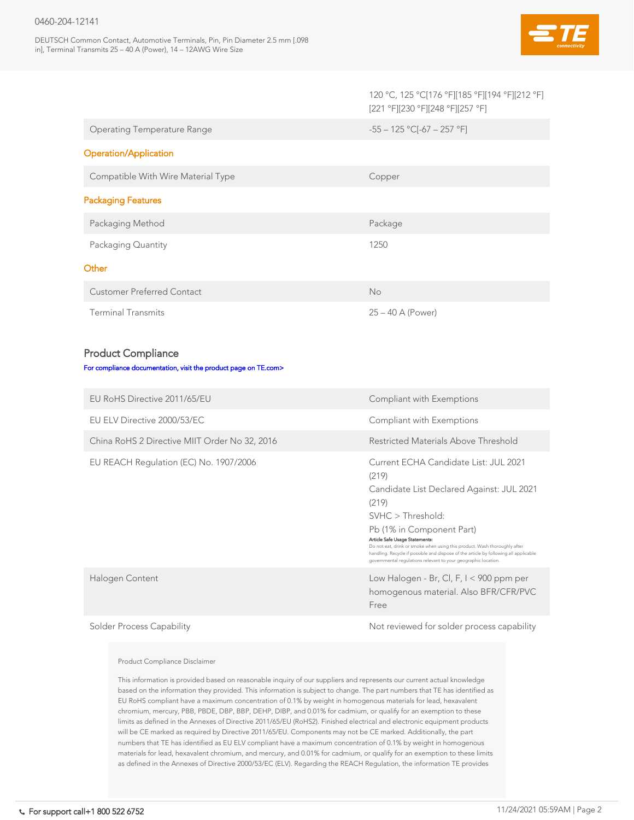DEUTSCH Common Contact, Automotive Terminals, Pin, Pin Diameter 2.5 mm [.098 in], Terminal Transmits 25 – 40 A (Power), 14 – 12AWG Wire Size



|                                                                 | 120 °C, 125 °C[176 °F][185 °F][194 °F][212 °F]<br>[221 °F][230 °F][248 °F][257 °F] |
|-----------------------------------------------------------------|------------------------------------------------------------------------------------|
| <b>Operating Temperature Range</b>                              | $-55 - 125$ °C[-67 - 257 °F]                                                       |
| <b>Operation/Application</b>                                    |                                                                                    |
| Compatible With Wire Material Type                              | Copper                                                                             |
| <b>Packaging Features</b>                                       |                                                                                    |
| Packaging Method                                                | Package                                                                            |
| Packaging Quantity                                              | 1250                                                                               |
| Other                                                           |                                                                                    |
| <b>Customer Preferred Contact</b>                               | <b>No</b>                                                                          |
| <b>Terminal Transmits</b>                                       | $25 - 40$ A (Power)                                                                |
|                                                                 |                                                                                    |
| <b>Product Compliance</b>                                       |                                                                                    |
| For compliance documentation, visit the product page on TE.com> |                                                                                    |
| EU RoHS Directive 2011/65/EU                                    | Compliant with Exemptions                                                          |
| EU ELV Directive 2000/53/EC                                     | Compliant with Exemptions                                                          |
| China RoHS 2 Directive MIIT Order No 32, 2016                   | <b>Restricted Materials Above Threshold</b>                                        |
| EU REACH Regulation (EC) No. 1907/2006                          | Current ECHA Candidate List: JUL 2021                                              |

Halogen Content Low Halogen - Br, Cl, F, I < 900 ppm per homogenous material. Also BFR/CFR/PVC Free

Solder Process Capability and the Mot reviewed for solder process capability

### (219)

Candidate List Declared Against: JUL 2021

(219)

SVHC > Threshold:

Pb (1% in Component Part)

### Article Safe Usage Statements:

Do not eat, drink or smoke when using this product. Wash thoroughly after handling. Recycle if possible and dispose of the article by following all applicable governmental regulations relevant to your geographic location.

### Product Compliance Disclaimer

This information is provided based on reasonable inquiry of our suppliers and represents our current actual knowledge based on the information they provided. This information is subject to change. The part numbers that TE has identified as EU RoHS compliant have a maximum concentration of 0.1% by weight in homogenous materials for lead, hexavalent chromium, mercury, PBB, PBDE, DBP, BBP, DEHP, DIBP, and 0.01% for cadmium, or qualify for an exemption to these limits as defined in the Annexes of Directive 2011/65/EU (RoHS2). Finished electrical and electronic equipment products will be CE marked as required by Directive 2011/65/EU. Components may not be CE marked. Additionally, the part numbers that TE has identified as EU ELV compliant have a maximum concentration of 0.1% by weight in homogenous materials for lead, hexavalent chromium, and mercury, and 0.01% for cadmium, or qualify for an exemption to these limits as defined in the Annexes of Directive 2000/53/EC (ELV). Regarding the REACH Regulation, the information TE provides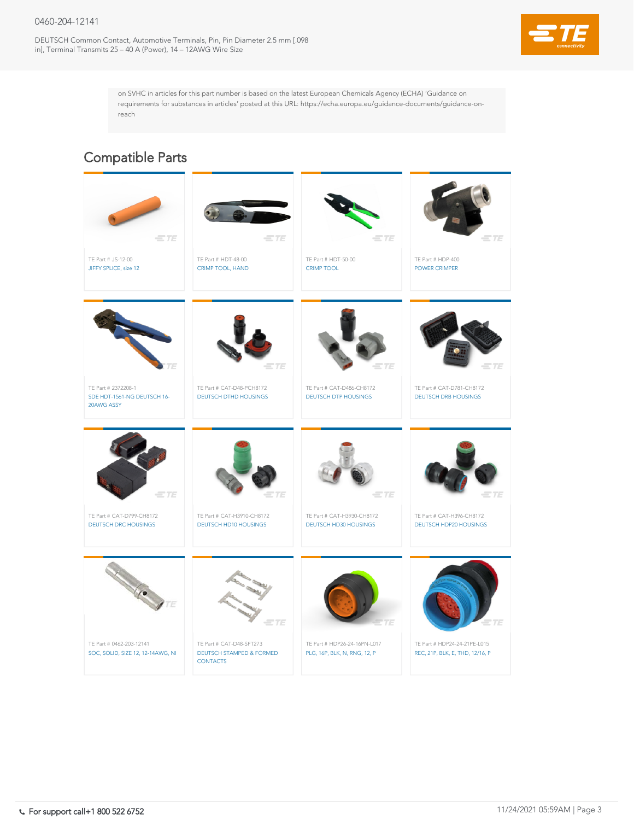DEUTSCH Common Contact, Automotive Terminals, Pin, Pin Diameter 2.5 mm [.098 in], Terminal Transmits 25 – 40 A (Power), 14 – 12AWG Wire Size



on SVHC in articles for this part number is based on the latest European Chemicals Agency (ECHA) 'Guidance on requirements for substances in articles' posted at this URL: https://echa.europa.eu/guidance-documents/guidance-onreach



# Compatible Parts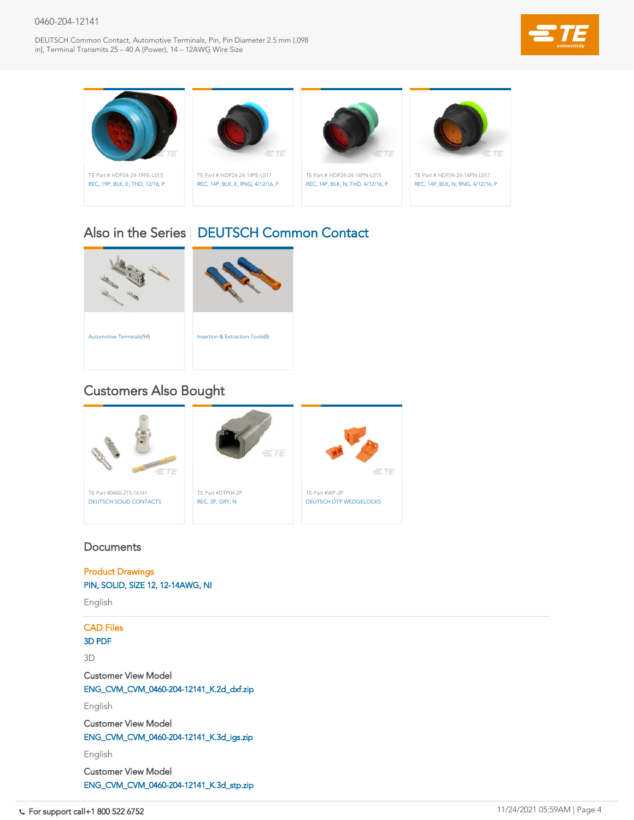DEUTSCH Common Contact, Automotive Terminals, Pin, Pin Diameter 2.5 mm [.098 in], Terminal Transmits 25 – 40 A (Power), 14 – 12AWG Wire Size





# **Documents**





# Also in the Series | [DEUTSCH Common Contact](https://www.te.com/usa-en/plp/X27xk.html)

# Customers Also Bought

Product Drawings [PIN, SOLID, SIZE 12, 12-14AWG, NI](https://www.te.com/commerce/DocumentDelivery/DDEController?Action=showdoc&DocId=Customer+Drawing%7F0460-204-12XX%7FA1%7Fpdf%7FEnglish%7FENG_CD_0460-204-12XX_A1.pdf%7F0460-204-12141)

English

CAD Files

[3D PDF](https://www.te.com/commerce/DocumentDelivery/DDEController?Action=showdoc&DocId=Customer+View+Model%7FCVM_0460-204-12141%7FK%7Fpdf%7F3D%7F3D_CVM_CVM_0460-204-12141_K.pdf%7F0460-204-12141)

3D

Customer View Model

[ENG\\_CVM\\_CVM\\_0460-204-12141\\_K.2d\\_dxf.zip](https://www.te.com/commerce/DocumentDelivery/DDEController?Action=showdoc&DocId=Customer+View+Model%7FCVM_0460-204-12141%7FK%7F2d_dxf.zip%7FEnglish%7FENG_CVM_CVM_0460-204-12141_K.2d_dxf.zip%7F0460-204-12141)

English

Customer View Model

[ENG\\_CVM\\_CVM\\_0460-204-12141\\_K.3d\\_igs.zip](https://www.te.com/commerce/DocumentDelivery/DDEController?Action=showdoc&DocId=Customer+View+Model%7FCVM_0460-204-12141%7FK%7F3d_igs.zip%7FEnglish%7FENG_CVM_CVM_0460-204-12141_K.3d_igs.zip%7F0460-204-12141)

English

Customer View Model

[ENG\\_CVM\\_CVM\\_0460-204-12141\\_K.3d\\_stp.zip](https://www.te.com/commerce/DocumentDelivery/DDEController?Action=showdoc&DocId=Customer+View+Model%7FCVM_0460-204-12141%7FK%7F3d_stp.zip%7FEnglish%7FENG_CVM_CVM_0460-204-12141_K.3d_stp.zip%7F0460-204-12141)